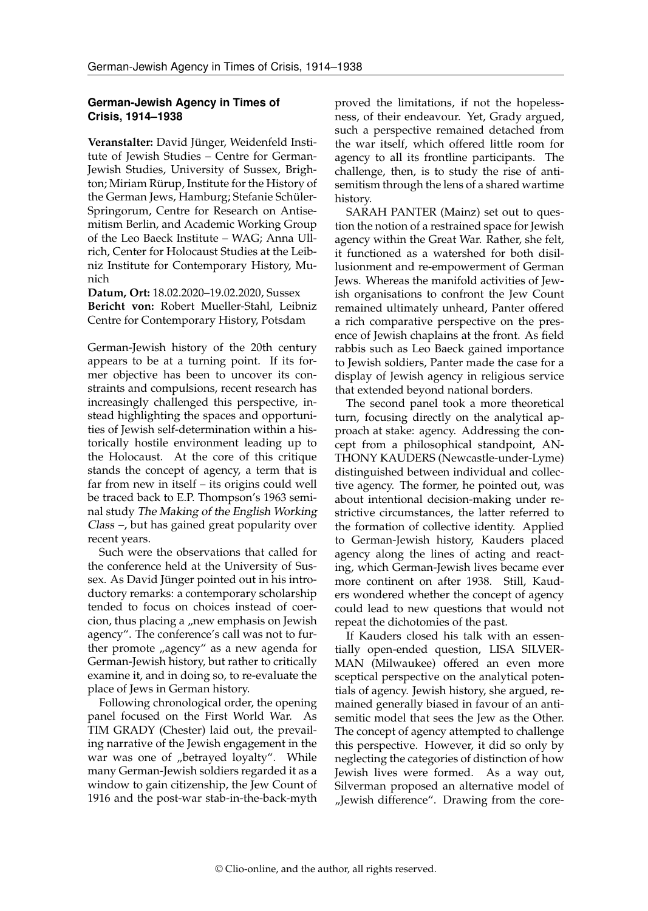## **German-Jewish Agency in Times of Crisis, 1914–1938**

**Veranstalter:** David Jünger, Weidenfeld Institute of Jewish Studies – Centre for German-Jewish Studies, University of Sussex, Brighton; Miriam Rürup, Institute for the History of the German Jews, Hamburg; Stefanie Schüler-Springorum, Centre for Research on Antisemitism Berlin, and Academic Working Group of the Leo Baeck Institute – WAG; Anna Ullrich, Center for Holocaust Studies at the Leibniz Institute for Contemporary History, Munich

**Datum, Ort:** 18.02.2020–19.02.2020, Sussex **Bericht von:** Robert Mueller-Stahl, Leibniz Centre for Contemporary History, Potsdam

German-Jewish history of the 20th century appears to be at a turning point. If its former objective has been to uncover its constraints and compulsions, recent research has increasingly challenged this perspective, instead highlighting the spaces and opportunities of Jewish self-determination within a historically hostile environment leading up to the Holocaust. At the core of this critique stands the concept of agency, a term that is far from new in itself – its origins could well be traced back to E.P. Thompson's 1963 seminal study The Making of the English Working Class –, but has gained great popularity over recent years.

Such were the observations that called for the conference held at the University of Sussex. As David Jünger pointed out in his introductory remarks: a contemporary scholarship tended to focus on choices instead of coercion, thus placing a "new emphasis on Jewish agency". The conference's call was not to further promote "agency" as a new agenda for German-Jewish history, but rather to critically examine it, and in doing so, to re-evaluate the place of Jews in German history.

Following chronological order, the opening panel focused on the First World War. As TIM GRADY (Chester) laid out, the prevailing narrative of the Jewish engagement in the war was one of "betrayed loyalty". While many German-Jewish soldiers regarded it as a window to gain citizenship, the Jew Count of 1916 and the post-war stab-in-the-back-myth proved the limitations, if not the hopelessness, of their endeavour. Yet, Grady argued, such a perspective remained detached from the war itself, which offered little room for agency to all its frontline participants. The challenge, then, is to study the rise of antisemitism through the lens of a shared wartime history.

SARAH PANTER (Mainz) set out to question the notion of a restrained space for Jewish agency within the Great War. Rather, she felt, it functioned as a watershed for both disillusionment and re-empowerment of German Jews. Whereas the manifold activities of Jewish organisations to confront the Jew Count remained ultimately unheard, Panter offered a rich comparative perspective on the presence of Jewish chaplains at the front. As field rabbis such as Leo Baeck gained importance to Jewish soldiers, Panter made the case for a display of Jewish agency in religious service that extended beyond national borders.

The second panel took a more theoretical turn, focusing directly on the analytical approach at stake: agency. Addressing the concept from a philosophical standpoint, AN-THONY KAUDERS (Newcastle-under-Lyme) distinguished between individual and collective agency. The former, he pointed out, was about intentional decision-making under restrictive circumstances, the latter referred to the formation of collective identity. Applied to German-Jewish history, Kauders placed agency along the lines of acting and reacting, which German-Jewish lives became ever more continent on after 1938. Still, Kauders wondered whether the concept of agency could lead to new questions that would not repeat the dichotomies of the past.

If Kauders closed his talk with an essentially open-ended question, LISA SILVER-MAN (Milwaukee) offered an even more sceptical perspective on the analytical potentials of agency. Jewish history, she argued, remained generally biased in favour of an antisemitic model that sees the Jew as the Other. The concept of agency attempted to challenge this perspective. However, it did so only by neglecting the categories of distinction of how Jewish lives were formed. As a way out, Silverman proposed an alternative model of "Jewish difference". Drawing from the core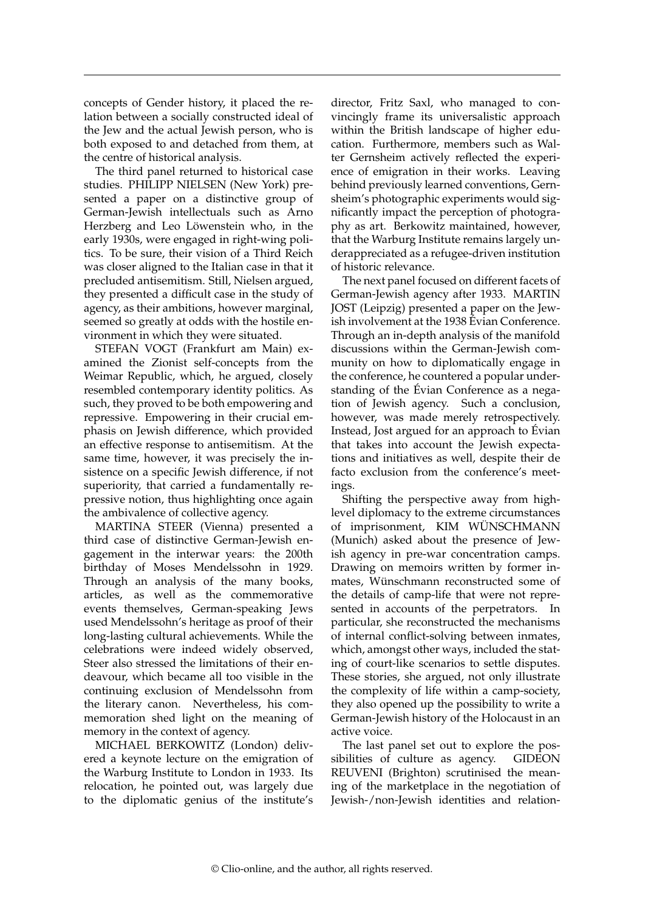concepts of Gender history, it placed the relation between a socially constructed ideal of the Jew and the actual Jewish person, who is both exposed to and detached from them, at the centre of historical analysis.

The third panel returned to historical case studies. PHILIPP NIELSEN (New York) presented a paper on a distinctive group of German-Jewish intellectuals such as Arno Herzberg and Leo Löwenstein who, in the early 1930s, were engaged in right-wing politics. To be sure, their vision of a Third Reich was closer aligned to the Italian case in that it precluded antisemitism. Still, Nielsen argued, they presented a difficult case in the study of agency, as their ambitions, however marginal, seemed so greatly at odds with the hostile environment in which they were situated.

STEFAN VOGT (Frankfurt am Main) examined the Zionist self-concepts from the Weimar Republic, which, he argued, closely resembled contemporary identity politics. As such, they proved to be both empowering and repressive. Empowering in their crucial emphasis on Jewish difference, which provided an effective response to antisemitism. At the same time, however, it was precisely the insistence on a specific Jewish difference, if not superiority, that carried a fundamentally repressive notion, thus highlighting once again the ambivalence of collective agency.

MARTINA STEER (Vienna) presented a third case of distinctive German-Jewish engagement in the interwar years: the 200th birthday of Moses Mendelssohn in 1929. Through an analysis of the many books, articles, as well as the commemorative events themselves, German-speaking Jews used Mendelssohn's heritage as proof of their long-lasting cultural achievements. While the celebrations were indeed widely observed, Steer also stressed the limitations of their endeavour, which became all too visible in the continuing exclusion of Mendelssohn from the literary canon. Nevertheless, his commemoration shed light on the meaning of memory in the context of agency.

MICHAEL BERKOWITZ (London) delivered a keynote lecture on the emigration of the Warburg Institute to London in 1933. Its relocation, he pointed out, was largely due to the diplomatic genius of the institute's

director, Fritz Saxl, who managed to convincingly frame its universalistic approach within the British landscape of higher education. Furthermore, members such as Walter Gernsheim actively reflected the experience of emigration in their works. Leaving behind previously learned conventions, Gernsheim's photographic experiments would significantly impact the perception of photography as art. Berkowitz maintained, however, that the Warburg Institute remains largely underappreciated as a refugee-driven institution of historic relevance.

The next panel focused on different facets of German-Jewish agency after 1933. MARTIN JOST (Leipzig) presented a paper on the Jewish involvement at the 1938 Évian Conference. Through an in-depth analysis of the manifold discussions within the German-Jewish community on how to diplomatically engage in the conference, he countered a popular understanding of the Évian Conference as a negation of Jewish agency. Such a conclusion, however, was made merely retrospectively. Instead, Jost argued for an approach to Évian that takes into account the Jewish expectations and initiatives as well, despite their de facto exclusion from the conference's meetings.

Shifting the perspective away from highlevel diplomacy to the extreme circumstances of imprisonment, KIM WÜNSCHMANN (Munich) asked about the presence of Jewish agency in pre-war concentration camps. Drawing on memoirs written by former inmates, Wünschmann reconstructed some of the details of camp-life that were not represented in accounts of the perpetrators. In particular, she reconstructed the mechanisms of internal conflict-solving between inmates, which, amongst other ways, included the stating of court-like scenarios to settle disputes. These stories, she argued, not only illustrate the complexity of life within a camp-society, they also opened up the possibility to write a German-Jewish history of the Holocaust in an active voice.

The last panel set out to explore the possibilities of culture as agency. GIDEON REUVENI (Brighton) scrutinised the meaning of the marketplace in the negotiation of Jewish-/non-Jewish identities and relation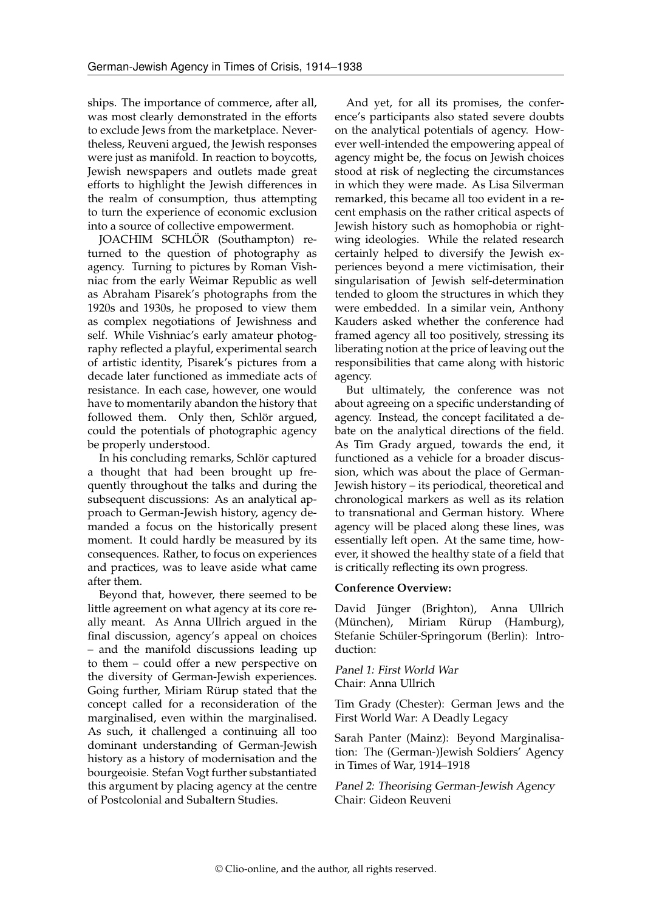ships. The importance of commerce, after all, was most clearly demonstrated in the efforts to exclude Jews from the marketplace. Nevertheless, Reuveni argued, the Jewish responses were just as manifold. In reaction to boycotts, Jewish newspapers and outlets made great efforts to highlight the Jewish differences in the realm of consumption, thus attempting to turn the experience of economic exclusion into a source of collective empowerment.

JOACHIM SCHLÖR (Southampton) returned to the question of photography as agency. Turning to pictures by Roman Vishniac from the early Weimar Republic as well as Abraham Pisarek's photographs from the 1920s and 1930s, he proposed to view them as complex negotiations of Jewishness and self. While Vishniac's early amateur photography reflected a playful, experimental search of artistic identity, Pisarek's pictures from a decade later functioned as immediate acts of resistance. In each case, however, one would have to momentarily abandon the history that followed them. Only then, Schlör argued, could the potentials of photographic agency be properly understood.

In his concluding remarks, Schlör captured a thought that had been brought up frequently throughout the talks and during the subsequent discussions: As an analytical approach to German-Jewish history, agency demanded a focus on the historically present moment. It could hardly be measured by its consequences. Rather, to focus on experiences and practices, was to leave aside what came after them.

Beyond that, however, there seemed to be little agreement on what agency at its core really meant. As Anna Ullrich argued in the final discussion, agency's appeal on choices – and the manifold discussions leading up to them – could offer a new perspective on the diversity of German-Jewish experiences. Going further, Miriam Rürup stated that the concept called for a reconsideration of the marginalised, even within the marginalised. As such, it challenged a continuing all too dominant understanding of German-Jewish history as a history of modernisation and the bourgeoisie. Stefan Vogt further substantiated this argument by placing agency at the centre of Postcolonial and Subaltern Studies.

And yet, for all its promises, the conference's participants also stated severe doubts on the analytical potentials of agency. However well-intended the empowering appeal of agency might be, the focus on Jewish choices stood at risk of neglecting the circumstances in which they were made. As Lisa Silverman remarked, this became all too evident in a recent emphasis on the rather critical aspects of Jewish history such as homophobia or rightwing ideologies. While the related research certainly helped to diversify the Jewish experiences beyond a mere victimisation, their singularisation of Jewish self-determination tended to gloom the structures in which they were embedded. In a similar vein, Anthony Kauders asked whether the conference had framed agency all too positively, stressing its liberating notion at the price of leaving out the responsibilities that came along with historic agency.

But ultimately, the conference was not about agreeing on a specific understanding of agency. Instead, the concept facilitated a debate on the analytical directions of the field. As Tim Grady argued, towards the end, it functioned as a vehicle for a broader discussion, which was about the place of German-Jewish history – its periodical, theoretical and chronological markers as well as its relation to transnational and German history. Where agency will be placed along these lines, was essentially left open. At the same time, however, it showed the healthy state of a field that is critically reflecting its own progress.

## **Conference Overview:**

David Jünger (Brighton), Anna Ullrich (München), Miriam Rürup (Hamburg), Stefanie Schüler-Springorum (Berlin): Introduction:

Panel 1: First World War Chair: Anna Ullrich

Tim Grady (Chester): German Jews and the First World War: A Deadly Legacy

Sarah Panter (Mainz): Beyond Marginalisation: The (German-)Jewish Soldiers' Agency in Times of War, 1914–1918

Panel 2: Theorising German-Jewish Agency Chair: Gideon Reuveni